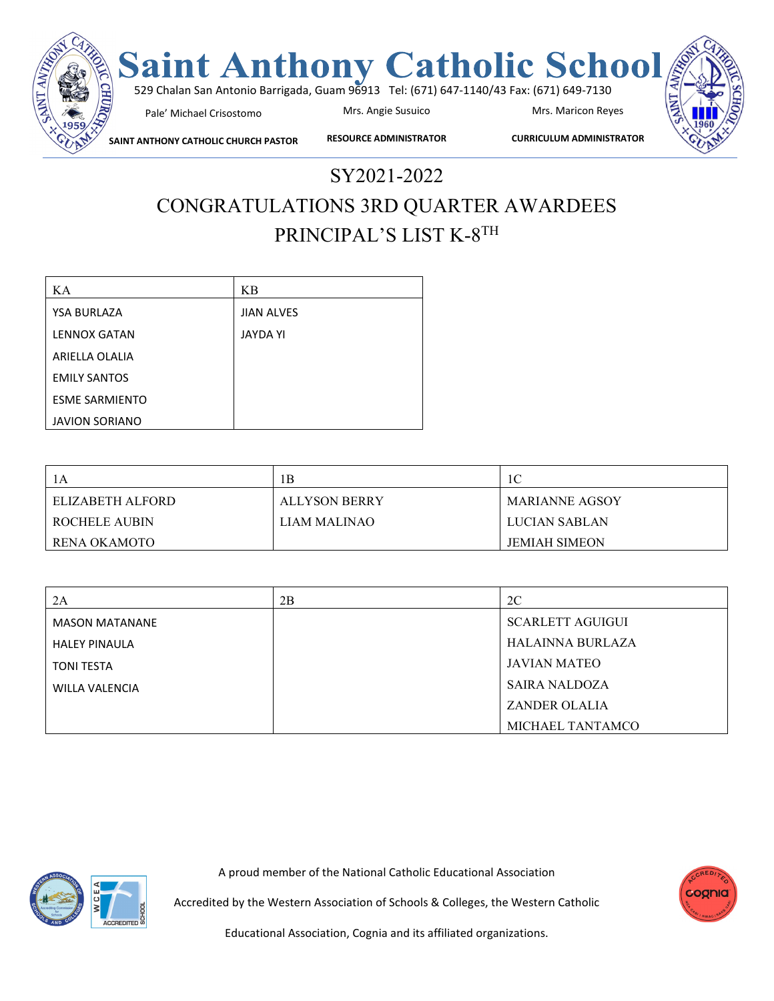

SY2021-2022

## CONGRATULATIONS 3RD QUARTER AWARDEES PRINCIPAL'S LIST K-8TH

| KА                    | KB                |
|-----------------------|-------------------|
| <b>YSA BURLAZA</b>    | <b>JIAN ALVES</b> |
| <b>LENNOX GATAN</b>   | <b>JAYDA YI</b>   |
| ARIELLA OLALIA        |                   |
| <b>EMILY SANTOS</b>   |                   |
| <b>ESME SARMIENTO</b> |                   |
| <b>JAVION SORIANO</b> |                   |

|                  | 1B            | 1C                   |
|------------------|---------------|----------------------|
| ELIZABETH ALFORD | ALLYSON BERRY | MARIANNE AGSOY       |
| ROCHELE AUBIN    | LIAM MALINAO  | LUCIAN SABLAN        |
| RENA OKAMOTO     |               | <b>JEMIAH SIMEON</b> |

| 2A                    | 2B | 2C                      |
|-----------------------|----|-------------------------|
| <b>MASON MATANANE</b> |    | <b>SCARLETT AGUIGUI</b> |
| <b>HALEY PINAULA</b>  |    | HALAINNA BURLAZA        |
| <b>TONI TESTA</b>     |    | <b>JAVIAN MATEO</b>     |
| WILLA VALENCIA        |    | SAIRA NALDOZA           |
|                       |    | <b>ZANDER OLALIA</b>    |
|                       |    | MICHAEL TANTAMCO        |

A proud member of the National Catholic Educational Association





Accredited by the Western Association of Schools & Colleges, the Western Catholic

Educational Association, Cognia and its affiliated organizations.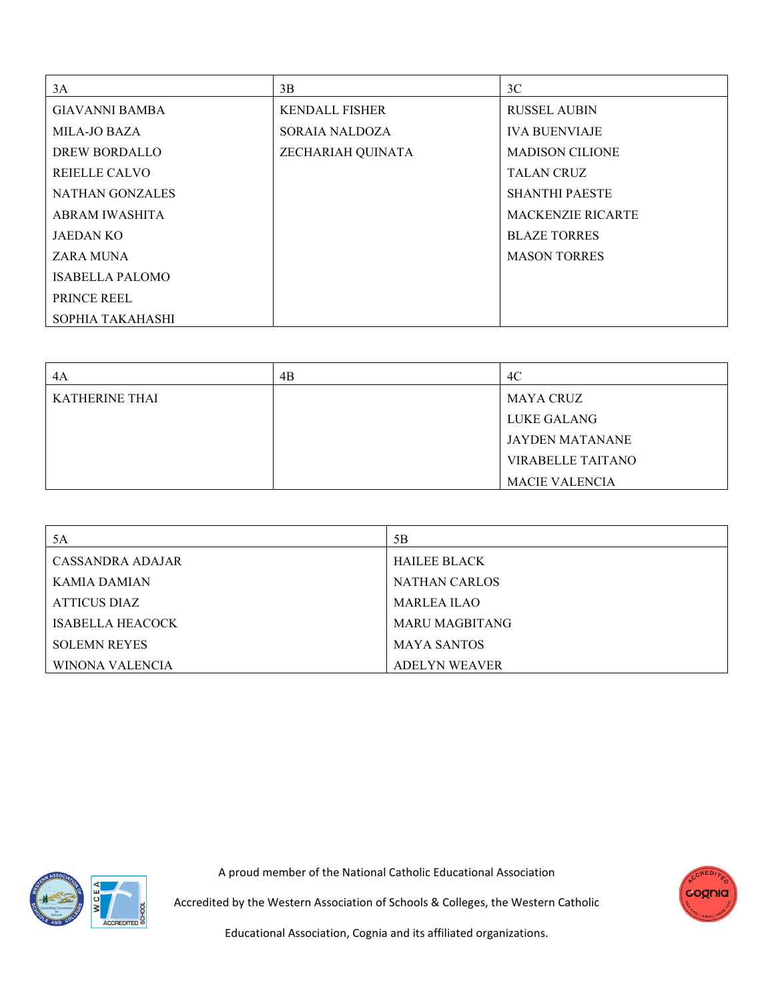| 3A                     | 3B                    | 3C                       |
|------------------------|-----------------------|--------------------------|
| <b>GIAVANNI BAMBA</b>  | <b>KENDALL FISHER</b> | <b>RUSSEL AUBIN</b>      |
| <b>MILA-JO BAZA</b>    | <b>SORAIA NALDOZA</b> | <b>IVA BUENVIAJE</b>     |
| DREW BORDALLO          | ZECHARIAH QUINATA     | <b>MADISON CILIONE</b>   |
| REIELLE CALVO          |                       | <b>TALAN CRUZ</b>        |
| <b>NATHAN GONZALES</b> |                       | <b>SHANTHI PAESTE</b>    |
| ABRAM IWASHITA         |                       | <b>MACKENZIE RICARTE</b> |
| <b>JAEDAN KO</b>       |                       | <b>BLAZE TORRES</b>      |
| ZARA MUNA              |                       | <b>MASON TORRES</b>      |
| <b>ISABELLA PALOMO</b> |                       |                          |
| PRINCE REEL            |                       |                          |
| SOPHIA TAKAHASHI       |                       |                          |

| 4A                    | 4B | 4C                       |
|-----------------------|----|--------------------------|
| <b>KATHERINE THAI</b> |    | <b>MAYA CRUZ</b>         |
|                       |    | LUKE GALANG              |
|                       |    | <b>JAYDEN MATANANE</b>   |
|                       |    | <b>VIRABELLE TAITANO</b> |
|                       |    | <b>MACIE VALENCIA</b>    |

| 5A                  | 5B                    |
|---------------------|-----------------------|
| CASSANDRA ADAJAR    | <b>HAILEE BLACK</b>   |
| KAMIA DAMIAN        | <b>NATHAN CARLOS</b>  |
| ATTICUS DIAZ        | MARLEA ILAO           |
| ISABELLA HEACOCK    | <b>MARU MAGBITANG</b> |
| <b>SOLEMN REYES</b> | <b>MAYA SANTOS</b>    |
| WINONA VALENCIA     | ADELYN WEAVER         |



A proud member of the National Catholic Educational Association



Accredited by the Western Association of Schools & Colleges, the Western Catholic

Educational Association, Cognia and its affiliated organizations.